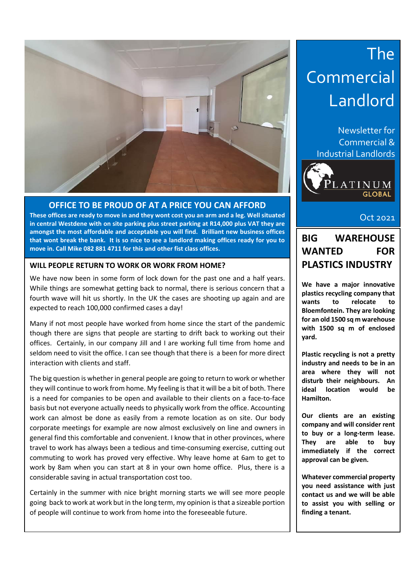

#### **OFFICE TO BE PROUD OF AT A PRICE YOU CAN AFFORD**

**These offices are ready to move in and they wont cost you an arm and a leg. Well situated in central Westdene with on site parking plus street parking at R14,000 plus VAT they are amongst the most affordable and acceptable you will find. Brilliant new business offices that wont break the bank. It is so nice to see a landlord making offices ready for you to move in. Call Mike 082 881 4711 for this and other fist class offices.**

#### **WILL PEOPLE RETURN TO WORK OR WORK FROM HOME?**

We have now been in some form of lock down for the past one and a half years. While things are somewhat getting back to normal, there is serious concern that a fourth wave will hit us shortly. In the UK the cases are shooting up again and are expected to reach 100,000 confirmed cases a day!

Many if not most people have worked from home since the start of the pandemic though there are signs that people are starting to drift back to working out their offices. Certainly, in our company Jill and I are working full time from home and seldom need to visit the office. I can see though that there is a been for more direct interaction with clients and staff.

The big question is whether in general people are going to return to work or whether they will continue to work from home. My feeling is that it will be a bit of both. There is a need for companies to be open and available to their clients on a face-to-face basis but not everyone actually needs to physically work from the office. Accounting work can almost be done as easily from a remote location as on site. Our body corporate meetings for example are now almost exclusively on line and owners in general find this comfortable and convenient. I know that in other provinces, where travel to work has always been a tedious and time-consuming exercise, cutting out commuting to work has proved very effective. Why leave home at 6am to get to work by 8am when you can start at 8 in your own home office. Plus, there is a considerable saving in actual transportation cost too.

Certainly in the summer with nice bright morning starts we will see more people going back to work at work but in the long term, my opinion is that a sizeable portion of people will continue to work from home into the foreseeable future.

## The Commercial Landlord

Newsletter for Commercial & Industrial Landlords



Oct 2021

## Aug 2017 **BIG WAREHOUSE WANTED FOR PLASTICS INDUSTRY**

**We have a major innovative plastics recycling company that wants to relocate to Bloemfontein. They are looking for an old 1500 sq m warehouse with 1500 sq m of enclosed yard.**

**Plastic recycling is not a pretty industry and needs to be in an area where they will not disturb their neighbours. An ideal location would be Hamilton.** 

**Our clients are an existing company and will consider rent to buy or a long-term lease. They are able to buy immediately if the correct approval can be given.** 

**Whatever commercial property you need assistance with just contact us and we will be able to assist you with selling or finding a tenant.**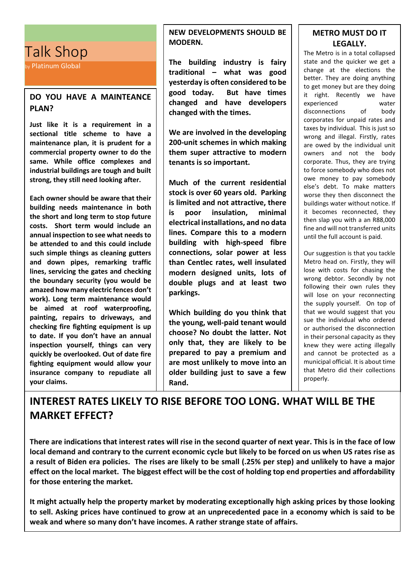## Talk Shop

by Platinum Global

#### **DO YOU HAVE A MAINTEANCE PLAN?**

**Just like it is a requirement in a sectional title scheme to have a maintenance plan, it is prudent for a commercial property owner to do the same. While office complexes and industrial buildings are tough and built strong, they still need looking after.** 

**Each owner should be aware that their building needs maintenance in both the short and long term to stop future costs. Short term would include an annual inspection to see what needs to be attended to and this could include such simple things as cleaning gutters and down pipes, remarking traffic lines, servicing the gates and checking the boundary security (you would be amazed how many electric fences don't work). Long term maintenance would be aimed at roof waterproofing, painting, repairs to driveways, and checking fire fighting equipment is up to date. If you don't have an annual inspection yourself, things can very quickly be overlooked. Out of date fire fighting equipment would allow your insurance company to repudiate all your claims.** 

#### **NEW DEVELOPMENTS SHOULD BE MODERN.**

**The building industry is fairy traditional – what was good yesterday is often considered to be good today. But have times changed and have developers changed with the times.** 

**We are involved in the developing 200-unit schemes in which making them super attractive to modern tenants is so important.** 

**Much of the current residential stock is over 60 years old. Parking is limited and not attractive, there is poor insulation, minimal electrical installations, and no data lines. Compare this to a modern building with high-speed fibre connections, solar power at less than Centlec rates, well insulated modern designed units, lots of double plugs and at least two parkings.** 

**Which building do you think that the young, well-paid tenant would choose? No doubt the latter. Not only that, they are likely to be prepared to pay a premium and are most unlikely to move into an older building just to save a few Rand.**

#### **METRO MUST DO IT LEGALLY.**

The Metro is in a total collapsed state and the quicker we get a change at the elections the better. They are doing anything to get money but are they doing it right. Recently we have experienced water disconnections of body corporates for unpaid rates and taxes by individual. This is just so wrong and illegal. Firstly, rates are owed by the individual unit owners and not the body corporate. Thus, they are trying to force somebody who does not owe money to pay somebody else's debt. To make matters worse they then disconnect the buildings water without notice. If it becomes reconnected, they then slap you with a an R88,000 fine and will not transferred units until the full account is paid.

Our suggestion is that you tackle Metro head on. Firstly, they will lose with costs for chasing the wrong debtor. Secondly by not following their own rules they will lose on your reconnecting the supply yourself. On top of that we would suggest that you sue the individual who ordered or authorised the disconnection in their personal capacity as they knew they were acting illegally and cannot be protected as a municipal official. It is about time that Metro did their collections properly.

## **INTEREST RATES LIKELY TO RISE BEFORE TOO LONG. WHAT WILL BE THE MARKET EFFECT?**

**There are indications that interest rates will rise in the second quarter of next year. This is in the face of low local demand and contrary to the current economic cycle but likely to be forced on us when US rates rise as a result of Biden era policies. The rises are likely to be small (.25% per step) and unlikely to have a major effect on the local market. The biggest effect will be the cost of holding top end properties and affordability for those entering the market.**

**It might actually help the property market by moderating exceptionally high asking prices by those looking to sell. Asking prices have continued to grow at an unprecedented pace in a economy which is said to be weak and where so many don't have incomes. A rather strange state of affairs.**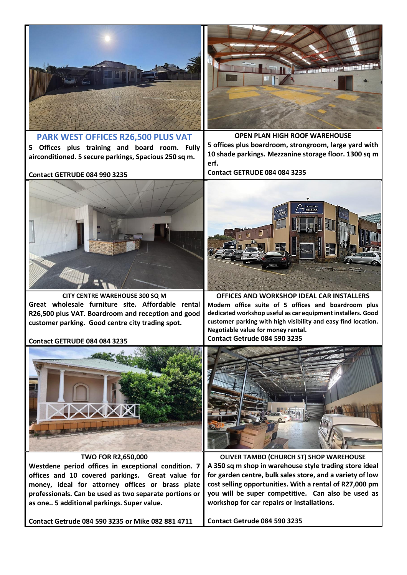

**PARK WEST OFFICES R26,500 PLUS VAT 5 Offices plus training and board room. Fully airconditioned. 5 secure parkings, Spacious 250 sq m.**



**OPEN PLAN HIGH ROOF WAREHOUSE**

**5 offices plus boardroom, strongroom, large yard with 10 shade parkings. Mezzanine storage floor. 1300 sq m erf.**

**Contact GETRUDE 084 084 3235**



**OFFICES AND WORKSHOP IDEAL CAR INSTALLERS Modern office suite of 5 offices and boardroom plus dedicated workshop useful as car equipment installers. Good customer parking with high visibility and easy find location. Negotiable value for money rental.**



**OLIVER TAMBO (CHURCH ST) SHOP WAREHOUSE A 350 sq m shop in warehouse style trading store ideal for garden centre, bulk sales store, and a variety of low cost selling opportunities. With a rental of R27,000 pm you will be super competitive. Can also be used as workshop for car repairs or installations.** 

**Contact Getrude 084 590 3235**

**Contact GETRUDE 084 990 3235**



**CITY CENTRE WAREHOUSE 300 SQ M Great wholesale furniture site. Affordable rental R26,500 plus VAT. Boardroom and reception and good customer parking. Good centre city trading spot.** 

#### **Contact GETRUDE 084 084 3235**



**TWO FOR R2,650,000**

**Westdene period offices in exceptional condition. 7 offices and 10 covered parkings. Great value for money, ideal for attorney offices or brass plate professionals. Can be used as two separate portions or as one.. 5 additional parkings. Super value.** 

**Contact Getrude 084 590 3235 or Mike 082 881 4711**